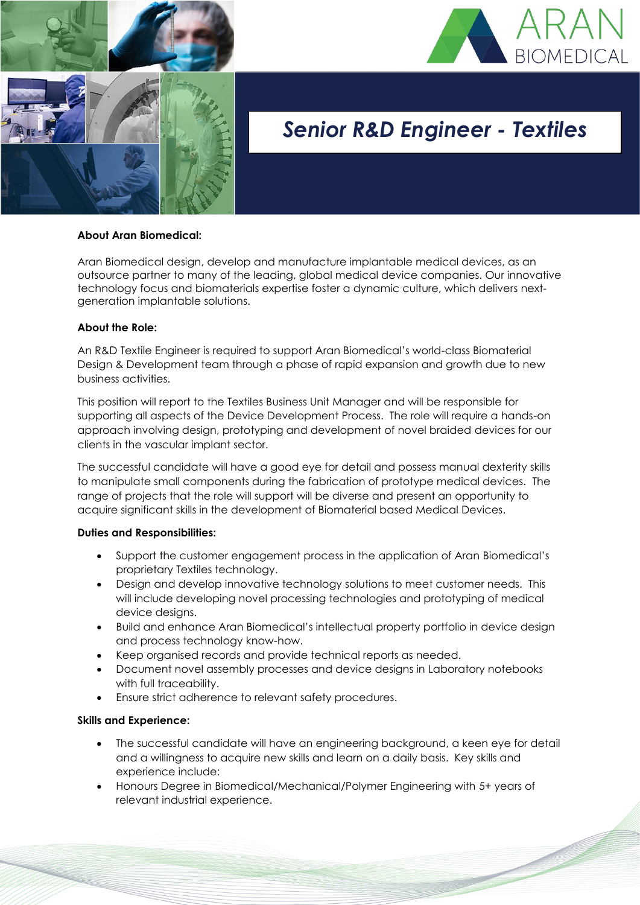



# *Senior R&D Engineer - Textiles*

## **About Aran Biomedical:**

Aran Biomedical design, develop and manufacture implantable medical devices, as an outsource partner to many of the leading, global medical device companies. Our innovative technology focus and biomaterials expertise foster a dynamic culture, which delivers nextgeneration implantable solutions.

## **About the Role:**

An R&D Textile Engineer is required to support Aran Biomedical's world-class Biomaterial Design & Development team through a phase of rapid expansion and growth due to new business activities.

This position will report to the Textiles Business Unit Manager and will be responsible for supporting all aspects of the Device Development Process. The role will require a hands-on approach involving design, prototyping and development of novel braided devices for our clients in the vascular implant sector.

The successful candidate will have a good eye for detail and possess manual dexterity skills to manipulate small components during the fabrication of prototype medical devices. The range of projects that the role will support will be diverse and present an opportunity to acquire significant skills in the development of Biomaterial based Medical Devices.

## **Duties and Responsibilities:**

- Support the customer engagement process in the application of Aran Biomedical's proprietary Textiles technology.
- Design and develop innovative technology solutions to meet customer needs. This will include developing novel processing technologies and prototyping of medical device designs.
- Build and enhance Aran Biomedical's intellectual property portfolio in device design and process technology know-how.
- Keep organised records and provide technical reports as needed.
- Document novel assembly processes and device designs in Laboratory notebooks with full traceability.
- Ensure strict adherence to relevant safety procedures.

### **Skills and Experience:**

- The successful candidate will have an engineering background, a keen eye for detail and a willingness to acquire new skills and learn on a daily basis. Key skills and experience include:
- Honours Degree in Biomedical/Mechanical/Polymer Engineering with 5+ years of relevant industrial experience.